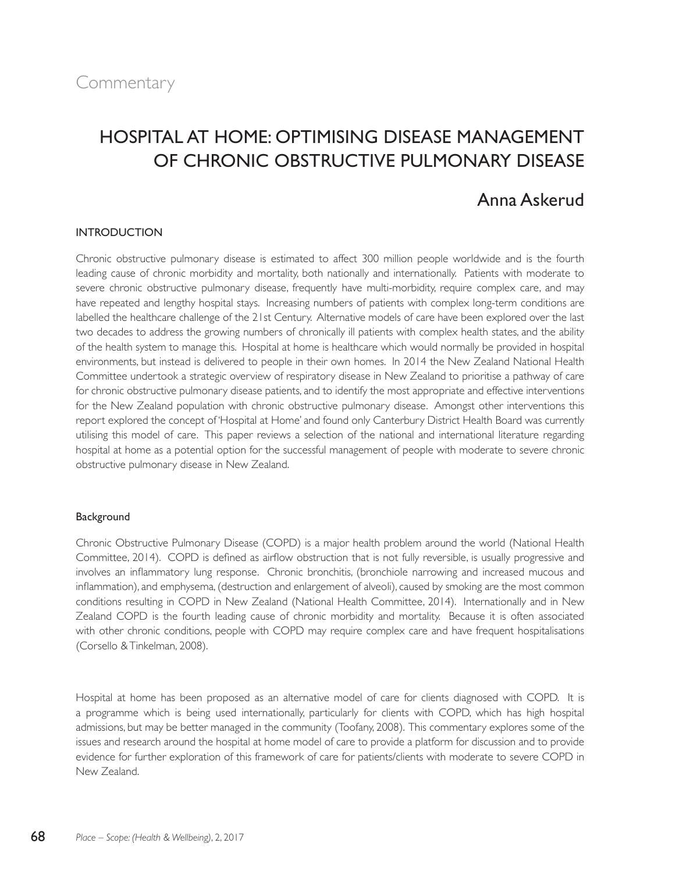# Hospital at Home: Optimising Disease Management of Chronic Obstructive Pulmonary Disease

# Anna Askerud

# INTRODUCTION

Chronic obstructive pulmonary disease is estimated to affect 300 million people worldwide and is the fourth leading cause of chronic morbidity and mortality, both nationally and internationally. Patients with moderate to severe chronic obstructive pulmonary disease, frequently have multi-morbidity, require complex care, and may have repeated and lengthy hospital stays. Increasing numbers of patients with complex long-term conditions are labelled the healthcare challenge of the 21st Century. Alternative models of care have been explored over the last two decades to address the growing numbers of chronically ill patients with complex health states, and the ability of the health system to manage this. Hospital at home is healthcare which would normally be provided in hospital environments, but instead is delivered to people in their own homes. In 2014 the New Zealand National Health Committee undertook a strategic overview of respiratory disease in New Zealand to prioritise a pathway of care for chronic obstructive pulmonary disease patients, and to identify the most appropriate and effective interventions for the New Zealand population with chronic obstructive pulmonary disease. Amongst other interventions this report explored the concept of 'Hospital at Home' and found only Canterbury District Health Board was currently utilising this model of care. This paper reviews a selection of the national and international literature regarding hospital at home as a potential option for the successful management of people with moderate to severe chronic obstructive pulmonary disease in New Zealand.

# Background

Chronic Obstructive Pulmonary Disease (COPD) is a major health problem around the world (National Health Committee, 2014). COPD is defined as airflow obstruction that is not fully reversible, is usually progressive and involves an inflammatory lung response. Chronic bronchitis, (bronchiole narrowing and increased mucous and inflammation), and emphysema, (destruction and enlargement of alveoli), caused by smoking are the most common conditions resulting in COPD in New Zealand (National Health Committee, 2014). Internationally and in New Zealand COPD is the fourth leading cause of chronic morbidity and mortality. Because it is often associated with other chronic conditions, people with COPD may require complex care and have frequent hospitalisations (Corsello & Tinkelman, 2008).

Hospital at home has been proposed as an alternative model of care for clients diagnosed with COPD. It is a programme which is being used internationally, particularly for clients with COPD, which has high hospital admissions, but may be better managed in the community (Toofany, 2008). This commentary explores some of the issues and research around the hospital at home model of care to provide a platform for discussion and to provide evidence for further exploration of this framework of care for patients/clients with moderate to severe COPD in New Zealand.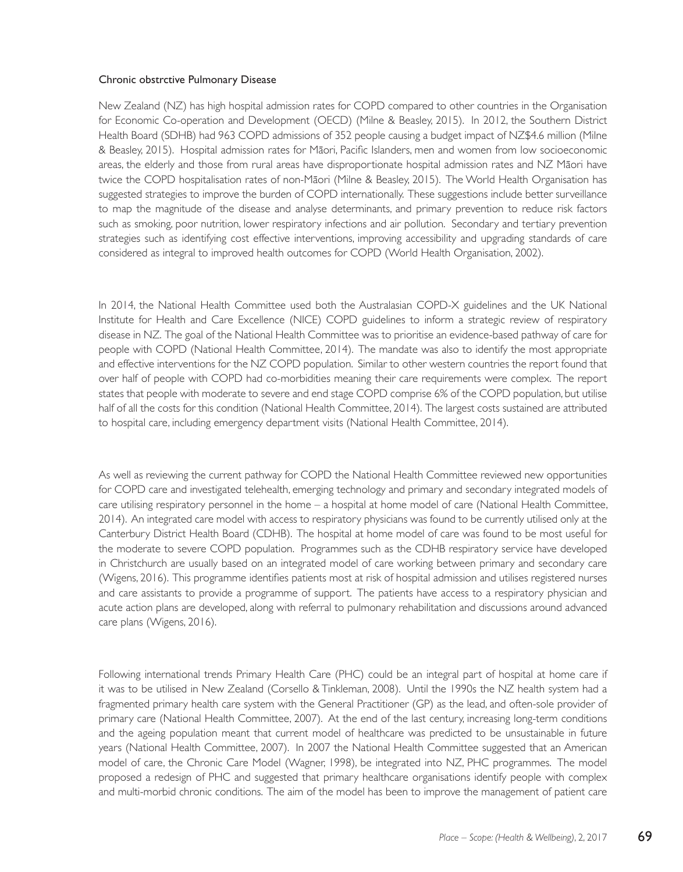#### Chronic obstrctive Pulmonary Disease

New Zealand (NZ) has high hospital admission rates for COPD compared to other countries in the Organisation for Economic Co-operation and Development (OECD) (Milne & Beasley, 2015). In 2012, the Southern District Health Board (SDHB) had 963 COPD admissions of 352 people causing a budget impact of NZ\$4.6 million (Milne & Beasley, 2015). Hospital admission rates for Mäori, Pacific Islanders, men and women from low socioeconomic areas, the elderly and those from rural areas have disproportionate hospital admission rates and NZ Mäori have twice the COPD hospitalisation rates of non-Mäori (Milne & Beasley, 2015). The World Health Organisation has suggested strategies to improve the burden of COPD internationally. These suggestions include better surveillance to map the magnitude of the disease and analyse determinants, and primary prevention to reduce risk factors such as smoking, poor nutrition, lower respiratory infections and air pollution. Secondary and tertiary prevention strategies such as identifying cost effective interventions, improving accessibility and upgrading standards of care considered as integral to improved health outcomes for COPD (World Health Organisation, 2002).

In 2014, the National Health Committee used both the Australasian COPD-X guidelines and the UK National Institute for Health and Care Excellence (NICE) COPD guidelines to inform a strategic review of respiratory disease in NZ. The goal of the National Health Committee was to prioritise an evidence-based pathway of care for people with COPD (National Health Committee, 2014). The mandate was also to identify the most appropriate and effective interventions for the NZ COPD population. Similar to other western countries the report found that over half of people with COPD had co-morbidities meaning their care requirements were complex. The report states that people with moderate to severe and end stage COPD comprise 6% of the COPD population, but utilise half of all the costs for this condition (National Health Committee, 2014). The largest costs sustained are attributed to hospital care, including emergency department visits (National Health Committee, 2014).

As well as reviewing the current pathway for COPD the National Health Committee reviewed new opportunities for COPD care and investigated telehealth, emerging technology and primary and secondary integrated models of care utilising respiratory personnel in the home – a hospital at home model of care (National Health Committee, 2014). An integrated care model with access to respiratory physicians was found to be currently utilised only at the Canterbury District Health Board (CDHB). The hospital at home model of care was found to be most useful for the moderate to severe COPD population. Programmes such as the CDHB respiratory service have developed in Christchurch are usually based on an integrated model of care working between primary and secondary care (Wigens, 2016). This programme identifies patients most at risk of hospital admission and utilises registered nurses and care assistants to provide a programme of support. The patients have access to a respiratory physician and acute action plans are developed, along with referral to pulmonary rehabilitation and discussions around advanced care plans (Wigens, 2016).

Following international trends Primary Health Care (PHC) could be an integral part of hospital at home care if it was to be utilised in New Zealand (Corsello & Tinkleman, 2008). Until the 1990s the NZ health system had a fragmented primary health care system with the General Practitioner (GP) as the lead, and often-sole provider of primary care (National Health Committee, 2007). At the end of the last century, increasing long-term conditions and the ageing population meant that current model of healthcare was predicted to be unsustainable in future years (National Health Committee, 2007). In 2007 the National Health Committee suggested that an American model of care, the Chronic Care Model (Wagner, 1998), be integrated into NZ, PHC programmes. The model proposed a redesign of PHC and suggested that primary healthcare organisations identify people with complex and multi-morbid chronic conditions. The aim of the model has been to improve the management of patient care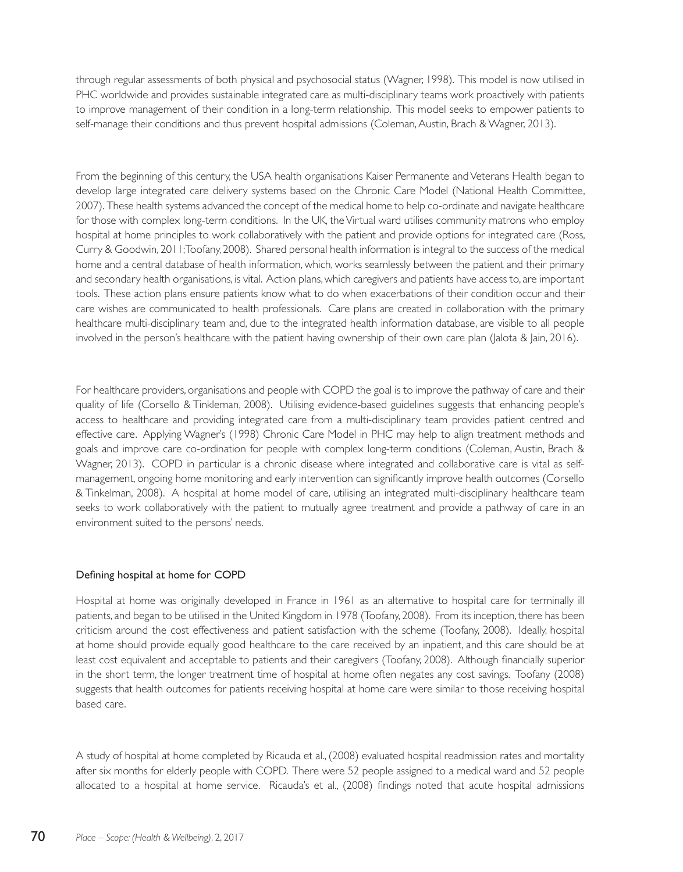through regular assessments of both physical and psychosocial status (Wagner, 1998). This model is now utilised in PHC worldwide and provides sustainable integrated care as multi-disciplinary teams work proactively with patients to improve management of their condition in a long-term relationship. This model seeks to empower patients to self-manage their conditions and thus prevent hospital admissions (Coleman, Austin, Brach & Wagner, 2013).

From the beginning of this century, the USA health organisations Kaiser Permanente and Veterans Health began to develop large integrated care delivery systems based on the Chronic Care Model (National Health Committee, 2007). These health systems advanced the concept of the medical home to help co-ordinate and navigate healthcare for those with complex long-term conditions. In the UK, the Virtual ward utilises community matrons who employ hospital at home principles to work collaboratively with the patient and provide options for integrated care (Ross, Curry & Goodwin, 2011; Toofany, 2008). Shared personal health information is integral to the success of the medical home and a central database of health information, which, works seamlessly between the patient and their primary and secondary health organisations, is vital. Action plans, which caregivers and patients have access to, are important tools. These action plans ensure patients know what to do when exacerbations of their condition occur and their care wishes are communicated to health professionals. Care plans are created in collaboration with the primary healthcare multi-disciplinary team and, due to the integrated health information database, are visible to all people involved in the person's healthcare with the patient having ownership of their own care plan (Jalota & Jain, 2016).

For healthcare providers, organisations and people with COPD the goal is to improve the pathway of care and their quality of life (Corsello & Tinkleman, 2008). Utilising evidence-based guidelines suggests that enhancing people's access to healthcare and providing integrated care from a multi-disciplinary team provides patient centred and effective care. Applying Wagner's (1998) Chronic Care Model in PHC may help to align treatment methods and goals and improve care co-ordination for people with complex long-term conditions (Coleman, Austin, Brach & Wagner, 2013). COPD in particular is a chronic disease where integrated and collaborative care is vital as selfmanagement, ongoing home monitoring and early intervention can significantly improve health outcomes (Corsello & Tinkelman, 2008). A hospital at home model of care, utilising an integrated multi-disciplinary healthcare team seeks to work collaboratively with the patient to mutually agree treatment and provide a pathway of care in an environment suited to the persons' needs.

# Defining hospital at home for COPD

Hospital at home was originally developed in France in 1961 as an alternative to hospital care for terminally ill patients, and began to be utilised in the United Kingdom in 1978 (Toofany, 2008). From its inception, there has been criticism around the cost effectiveness and patient satisfaction with the scheme (Toofany, 2008). Ideally, hospital at home should provide equally good healthcare to the care received by an inpatient, and this care should be at least cost equivalent and acceptable to patients and their caregivers (Toofany, 2008). Although financially superior in the short term, the longer treatment time of hospital at home often negates any cost savings. Toofany (2008) suggests that health outcomes for patients receiving hospital at home care were similar to those receiving hospital based care.

A study of hospital at home completed by Ricauda et al., (2008) evaluated hospital readmission rates and mortality after six months for elderly people with COPD. There were 52 people assigned to a medical ward and 52 people allocated to a hospital at home service. Ricauda's et al., (2008) findings noted that acute hospital admissions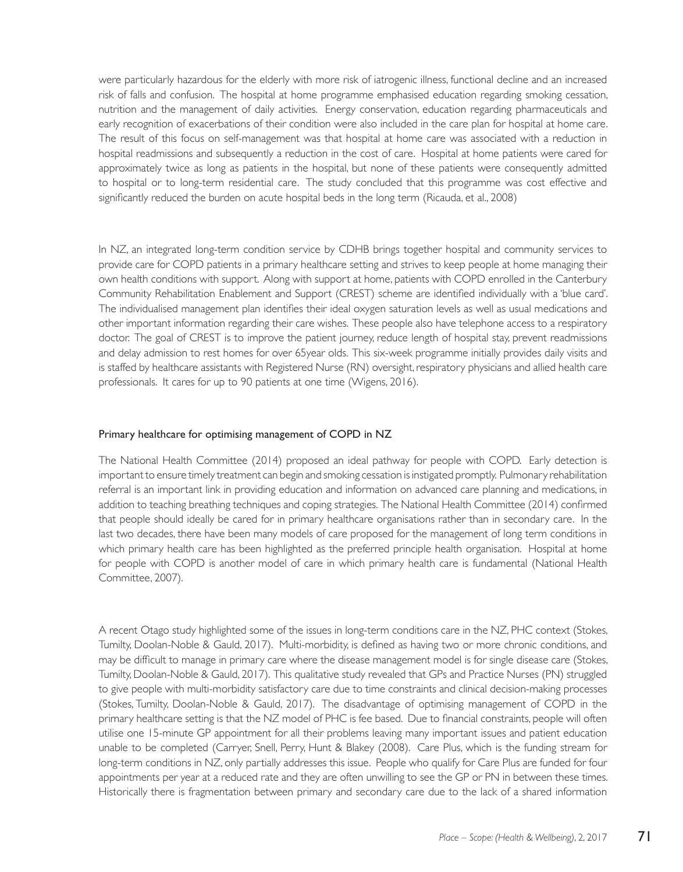were particularly hazardous for the elderly with more risk of iatrogenic illness, functional decline and an increased risk of falls and confusion. The hospital at home programme emphasised education regarding smoking cessation, nutrition and the management of daily activities. Energy conservation, education regarding pharmaceuticals and early recognition of exacerbations of their condition were also included in the care plan for hospital at home care. The result of this focus on self-management was that hospital at home care was associated with a reduction in hospital readmissions and subsequently a reduction in the cost of care. Hospital at home patients were cared for approximately twice as long as patients in the hospital, but none of these patients were consequently admitted to hospital or to long-term residential care. The study concluded that this programme was cost effective and significantly reduced the burden on acute hospital beds in the long term (Ricauda, et al., 2008)

In NZ, an integrated long-term condition service by CDHB brings together hospital and community services to provide care for COPD patients in a primary healthcare setting and strives to keep people at home managing their own health conditions with support. Along with support at home, patients with COPD enrolled in the Canterbury Community Rehabilitation Enablement and Support (CREST) scheme are identified individually with a 'blue card'. The individualised management plan identifies their ideal oxygen saturation levels as well as usual medications and other important information regarding their care wishes. These people also have telephone access to a respiratory doctor. The goal of CREST is to improve the patient journey, reduce length of hospital stay, prevent readmissions and delay admission to rest homes for over 65year olds. This six-week programme initially provides daily visits and is staffed by healthcare assistants with Registered Nurse (RN) oversight, respiratory physicians and allied health care professionals. It cares for up to 90 patients at one time (Wigens, 2016).

#### Primary healthcare for optimising management of COPD in NZ

The National Health Committee (2014) proposed an ideal pathway for people with COPD. Early detection is important to ensure timely treatment can begin and smoking cessation is instigated promptly. Pulmonary rehabilitation referral is an important link in providing education and information on advanced care planning and medications, in addition to teaching breathing techniques and coping strategies. The National Health Committee (2014) confirmed that people should ideally be cared for in primary healthcare organisations rather than in secondary care. In the last two decades, there have been many models of care proposed for the management of long term conditions in which primary health care has been highlighted as the preferred principle health organisation. Hospital at home for people with COPD is another model of care in which primary health care is fundamental (National Health Committee, 2007).

A recent Otago study highlighted some of the issues in long-term conditions care in the NZ, PHC context (Stokes, Tumilty, Doolan-Noble & Gauld, 2017). Multi-morbidity, is defined as having two or more chronic conditions, and may be difficult to manage in primary care where the disease management model is for single disease care (Stokes, Tumilty, Doolan-Noble & Gauld, 2017). This qualitative study revealed that GPs and Practice Nurses (PN) struggled to give people with multi-morbidity satisfactory care due to time constraints and clinical decision-making processes (Stokes, Tumilty, Doolan-Noble & Gauld, 2017). The disadvantage of optimising management of COPD in the primary healthcare setting is that the NZ model of PHC is fee based. Due to financial constraints, people will often utilise one 15-minute GP appointment for all their problems leaving many important issues and patient education unable to be completed (Carryer, Snell, Perry, Hunt & Blakey (2008). Care Plus, which is the funding stream for long-term conditions in NZ, only partially addresses this issue. People who qualify for Care Plus are funded for four appointments per year at a reduced rate and they are often unwilling to see the GP or PN in between these times. Historically there is fragmentation between primary and secondary care due to the lack of a shared information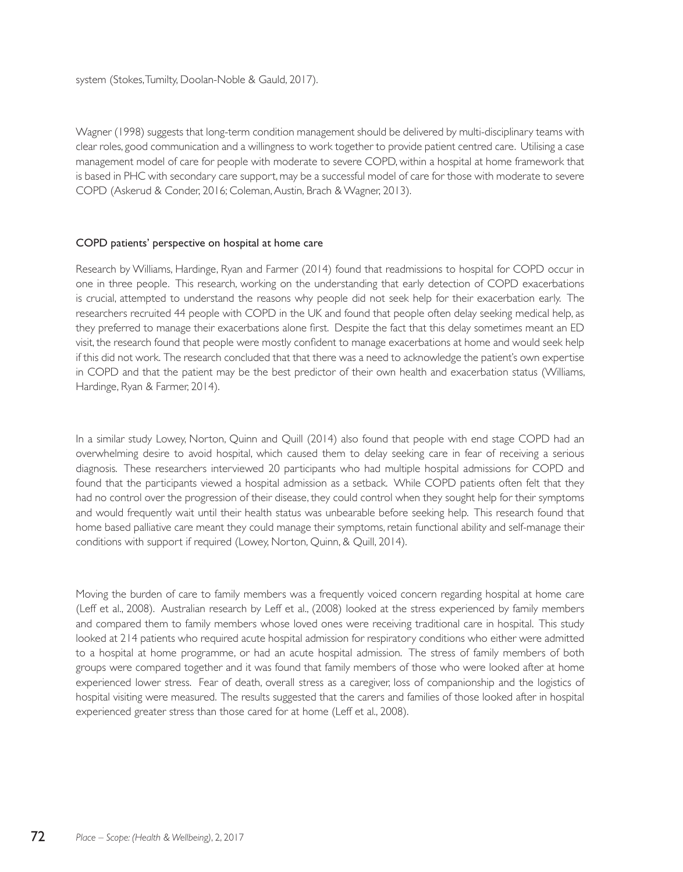Wagner (1998) suggests that long-term condition management should be delivered by multi-disciplinary teams with clear roles, good communication and a willingness to work together to provide patient centred care. Utilising a case management model of care for people with moderate to severe COPD, within a hospital at home framework that is based in PHC with secondary care support, may be a successful model of care for those with moderate to severe COPD (Askerud & Conder, 2016; Coleman, Austin, Brach & Wagner, 2013).

#### COPD patients' perspective on hospital at home care

Research by Williams, Hardinge, Ryan and Farmer (2014) found that readmissions to hospital for COPD occur in one in three people. This research, working on the understanding that early detection of COPD exacerbations is crucial, attempted to understand the reasons why people did not seek help for their exacerbation early. The researchers recruited 44 people with COPD in the UK and found that people often delay seeking medical help, as they preferred to manage their exacerbations alone first. Despite the fact that this delay sometimes meant an ED visit, the research found that people were mostly confident to manage exacerbations at home and would seek help if this did not work. The research concluded that that there was a need to acknowledge the patient's own expertise in COPD and that the patient may be the best predictor of their own health and exacerbation status (Williams, Hardinge, Ryan & Farmer, 2014).

In a similar study Lowey, Norton, Quinn and Quill (2014) also found that people with end stage COPD had an overwhelming desire to avoid hospital, which caused them to delay seeking care in fear of receiving a serious diagnosis. These researchers interviewed 20 participants who had multiple hospital admissions for COPD and found that the participants viewed a hospital admission as a setback. While COPD patients often felt that they had no control over the progression of their disease, they could control when they sought help for their symptoms and would frequently wait until their health status was unbearable before seeking help. This research found that home based palliative care meant they could manage their symptoms, retain functional ability and self-manage their conditions with support if required (Lowey, Norton, Quinn, & Quill, 2014).

Moving the burden of care to family members was a frequently voiced concern regarding hospital at home care (Leff et al., 2008). Australian research by Leff et al., (2008) looked at the stress experienced by family members and compared them to family members whose loved ones were receiving traditional care in hospital. This study looked at 214 patients who required acute hospital admission for respiratory conditions who either were admitted to a hospital at home programme, or had an acute hospital admission. The stress of family members of both groups were compared together and it was found that family members of those who were looked after at home experienced lower stress. Fear of death, overall stress as a caregiver, loss of companionship and the logistics of hospital visiting were measured. The results suggested that the carers and families of those looked after in hospital experienced greater stress than those cared for at home (Leff et al., 2008).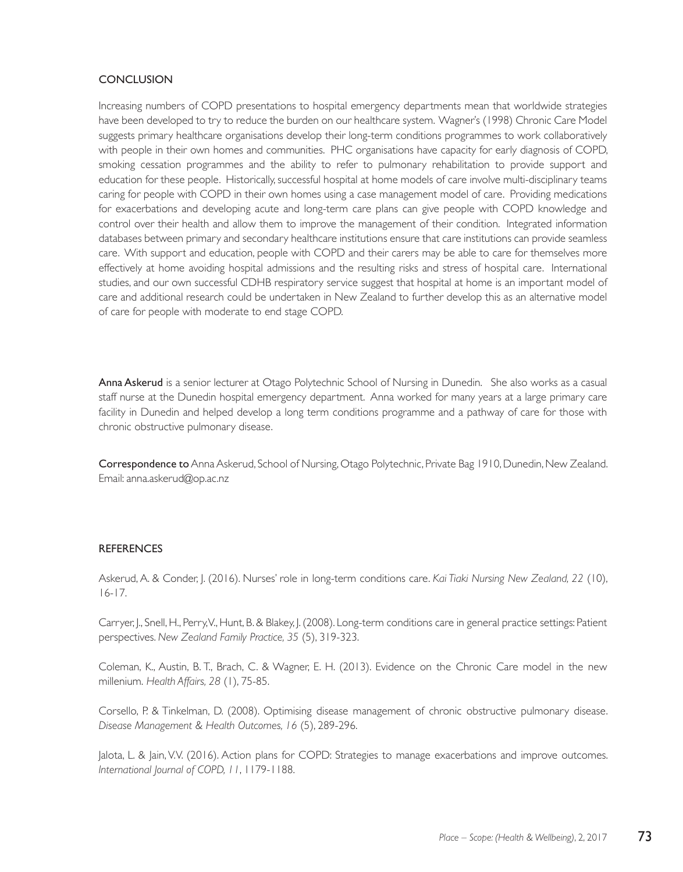# **CONCLUSION**

Increasing numbers of COPD presentations to hospital emergency departments mean that worldwide strategies have been developed to try to reduce the burden on our healthcare system. Wagner's (1998) Chronic Care Model suggests primary healthcare organisations develop their long-term conditions programmes to work collaboratively with people in their own homes and communities. PHC organisations have capacity for early diagnosis of COPD, smoking cessation programmes and the ability to refer to pulmonary rehabilitation to provide support and education for these people. Historically, successful hospital at home models of care involve multi-disciplinary teams caring for people with COPD in their own homes using a case management model of care. Providing medications for exacerbations and developing acute and long-term care plans can give people with COPD knowledge and control over their health and allow them to improve the management of their condition. Integrated information databases between primary and secondary healthcare institutions ensure that care institutions can provide seamless care. With support and education, people with COPD and their carers may be able to care for themselves more effectively at home avoiding hospital admissions and the resulting risks and stress of hospital care. International studies, and our own successful CDHB respiratory service suggest that hospital at home is an important model of care and additional research could be undertaken in New Zealand to further develop this as an alternative model of care for people with moderate to end stage COPD.

Anna Askerud is a senior lecturer at Otago Polytechnic School of Nursing in Dunedin. She also works as a casual staff nurse at the Dunedin hospital emergency department. Anna worked for many years at a large primary care facility in Dunedin and helped develop a long term conditions programme and a pathway of care for those with chronic obstructive pulmonary disease.

Correspondence to Anna Askerud, School of Nursing, Otago Polytechnic, Private Bag 1910, Dunedin, New Zealand. Email: anna.askerud@op.ac.nz

#### REFERENCES

Askerud, A. & Conder, J. (2016). Nurses' role in long-term conditions care. *Kai Tiaki Nursing New Zealand, 22* (10), 16-17.

Carryer, J., Snell, H., Perry, V., Hunt, B. & Blakey, J. (2008). Long-term conditions care in general practice settings: Patient perspectives. *New Zealand Family Practice, 35* (5), 319-323.

Coleman, K., Austin, B. T., Brach, C. & Wagner, E. H. (2013). Evidence on the Chronic Care model in the new millenium. *Health Affairs, 28* (1), 75-85.

Corsello, P. & Tinkelman, D. (2008). Optimising disease management of chronic obstructive pulmonary disease. *Disease Management & Health Outcomes, 16* (5), 289-296.

Jalota, L. & Jain, V.V. (2016). Action plans for COPD: Strategies to manage exacerbations and improve outcomes. *International Journal of COPD, 11*, 1179-1188.